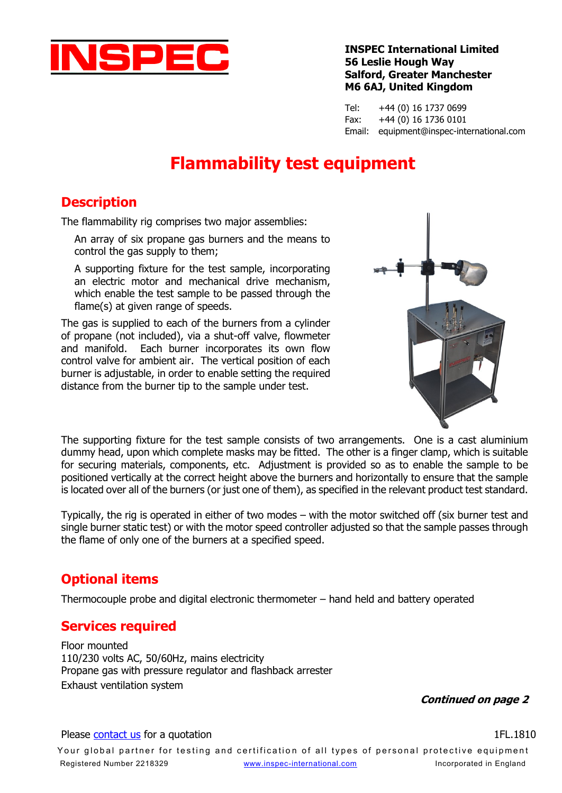

#### **INSPEC International Limited 56 Leslie Hough Way Salford, Greater Manchester M6 6AJ, United Kingdom**

Tel: +44 (0) 16 1737 0699 Fax: +44 (0) 16 1736 0101 Email: equipment@inspec-international.com

# **Flammability test equipment**

## **Description**

The flammability rig comprises two major assemblies:

An array of six propane gas burners and the means to control the gas supply to them;

A supporting fixture for the test sample, incorporating an electric motor and mechanical drive mechanism, which enable the test sample to be passed through the flame(s) at given range of speeds.

The gas is supplied to each of the burners from a cylinder of propane (not included), via a shut-off valve, flowmeter and manifold. Each burner incorporates its own flow control valve for ambient air. The vertical position of each burner is adjustable, in order to enable setting the required distance from the burner tip to the sample under test.



The supporting fixture for the test sample consists of two arrangements. One is a cast aluminium dummy head, upon which complete masks may be fitted. The other is a finger clamp, which is suitable for securing materials, components, etc. Adjustment is provided so as to enable the sample to be positioned vertically at the correct height above the burners and horizontally to ensure that the sample is located over all of the burners (or just one of them), as specified in the relevant product test standard.

Typically, the rig is operated in either of two modes – with the motor switched off (six burner test and single burner static test) or with the motor speed controller adjusted so that the sample passes through the flame of only one of the burners at a specified speed.

## **Optional items**

Thermocouple probe and digital electronic thermometer – hand held and battery operated

#### **Services required**

Floor mounted 110/230 volts AC, 50/60Hz, mains electricity Propane gas with pressure regulator and flashback arrester Exhaust ventilation system

**Continued on page 2**

#### Please [contact us](http://www.inspec-international.com/equipment/enquiry) for a quotation **1FL.1810** Please contact us for a quotation

Your global partner for testing and certification of all types of personal protective equipment Registered Number 2218329 [www.inspec-international.com](http://www.inspec-international.com/) Incorporated in England